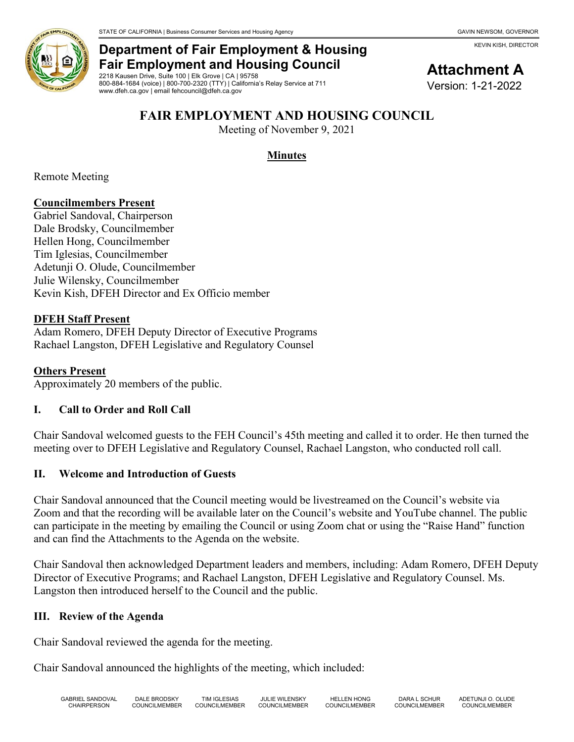KEVIN KISH, DIRECTOR



## **Department of Fair Employment & Housing Fair Employment and Housing Council**

2218 Kausen Drive, Suite 100 | Elk Grove | CA | 95758 800-884-1684 (voice) | 800-700-2320 (TTY) | California's Relay Service at 711 www.dfeh.ca.gov | email fehcouncil@dfeh.ca.gov

# **Attachment A**

Version: 1-21-2022

### **FAIR EMPLOYMENT AND HOUSING COUNCIL**

Meeting of November 9, 2021

### **Minutes**

Remote Meeting

### **Councilmembers Present**

Gabriel Sandoval, Chairperson Dale Brodsky, Councilmember Hellen Hong, Councilmember Tim Iglesias, Councilmember Adetunji O. Olude, Councilmember Julie Wilensky, Councilmember Kevin Kish, DFEH Director and Ex Officio member

#### **DFEH Staff Present**

Adam Romero, DFEH Deputy Director of Executive Programs Rachael Langston, DFEH Legislative and Regulatory Counsel

#### **Others Present**

Approximately 20 members of the public.

### **I. Call to Order and Roll Call**

Chair Sandoval welcomed guests to the FEH Council's 45th meeting and called it to order. He then turned the meeting over to DFEH Legislative and Regulatory Counsel, Rachael Langston, who conducted roll call.

### **II. Welcome and Introduction of Guests**

Chair Sandoval announced that the Council meeting would be livestreamed on the Council's website via Zoom and that the recording will be available later on the Council's website and YouTube channel. The public can participate in the meeting by emailing the Council or using Zoom chat or using the "Raise Hand" function and can find the Attachments to the Agenda on the website.

Chair Sandoval then acknowledged Department leaders and members, including: Adam Romero, DFEH Deputy Director of Executive Programs; and Rachael Langston, DFEH Legislative and Regulatory Counsel. Ms. Langston then introduced herself to the Council and the public.

### **III. Review of the Agenda**

Chair Sandoval reviewed the agenda for the meeting.

Chair Sandoval announced the highlights of the meeting, which included: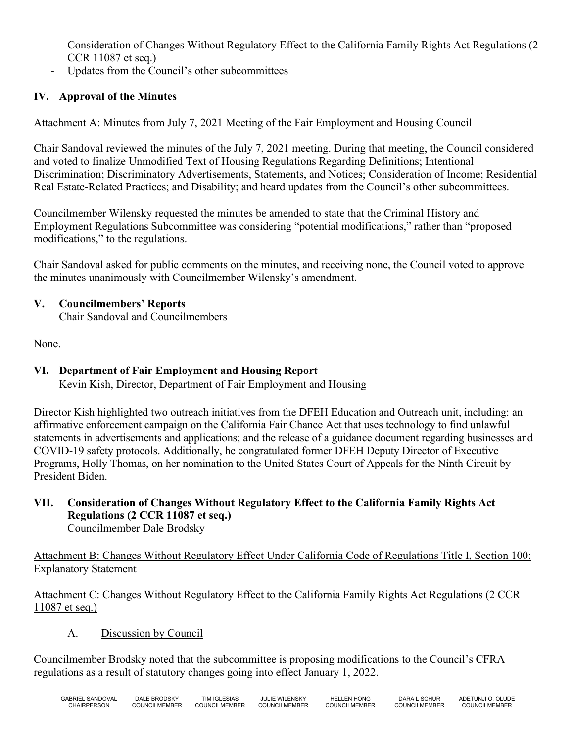- Consideration of Changes Without Regulatory Effect to the California Family Rights Act Regulations (2 CCR 11087 et seq.)
- Updates from the Council's other subcommittees

### **IV. Approval of the Minutes**

### Attachment A: Minutes from July 7, 2021 Meeting of the Fair Employment and Housing Council

Chair Sandoval reviewed the minutes of the July 7, 2021 meeting. During that meeting, the Council considered and voted to finalize Unmodified Text of Housing Regulations Regarding Definitions; Intentional Discrimination; Discriminatory Advertisements, Statements, and Notices; Consideration of Income; Residential Real Estate-Related Practices; and Disability; and heard updates from the Council's other subcommittees.

Councilmember Wilensky requested the minutes be amended to state that the Criminal History and Employment Regulations Subcommittee was considering "potential modifications," rather than "proposed modifications," to the regulations.

Chair Sandoval asked for public comments on the minutes, and receiving none, the Council voted to approve the minutes unanimously with Councilmember Wilensky's amendment.

### **V. Councilmembers' Reports**

Chair Sandoval and Councilmembers

None.

### **VI. Department of Fair Employment and Housing Report**

Kevin Kish, Director, Department of Fair Employment and Housing

Director Kish highlighted two outreach initiatives from the DFEH Education and Outreach unit, including: an affirmative enforcement campaign on the California Fair Chance Act that uses technology to find unlawful statements in advertisements and applications; and the release of a guidance document regarding businesses and COVID-19 safety protocols. Additionally, he congratulated former DFEH Deputy Director of Executive Programs, Holly Thomas, on her nomination to the United States Court of Appeals for the Ninth Circuit by President Biden.

**VII. Consideration of Changes Without Regulatory Effect to the California Family Rights Act Regulations (2 CCR 11087 et seq.)** Councilmember Dale Brodsky

Attachment B: Changes Without Regulatory Effect Under California Code of Regulations Title I, Section 100: Explanatory Statement

Attachment C: Changes Without Regulatory Effect to the California Family Rights Act Regulations (2 CCR 11087 et seq.)

A. Discussion by Council

Councilmember Brodsky noted that the subcommittee is proposing modifications to the Council's CFRA regulations as a result of statutory changes going into effect January 1, 2022.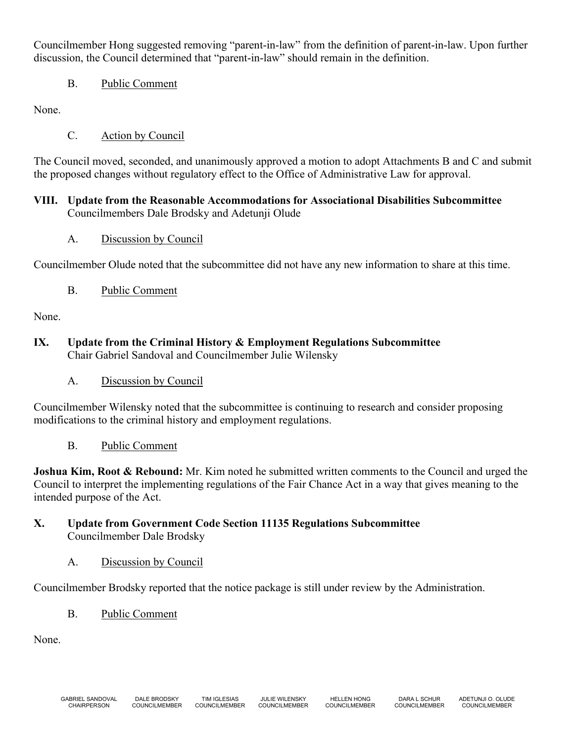Councilmember Hong suggested removing "parent-in-law" from the definition of parent-in-law. Upon further discussion, the Council determined that "parent-in-law" should remain in the definition.

B. Public Comment

None.

C. Action by Council

The Council moved, seconded, and unanimously approved a motion to adopt Attachments B and C and submit the proposed changes without regulatory effect to the Office of Administrative Law for approval.

### **VIII. Update from the Reasonable Accommodations for Associational Disabilities Subcommittee** Councilmembers Dale Brodsky and Adetunji Olude

A. Discussion by Council

Councilmember Olude noted that the subcommittee did not have any new information to share at this time.

B. Public Comment

None.

- **IX. Update from the Criminal History & Employment Regulations Subcommittee** Chair Gabriel Sandoval and Councilmember Julie Wilensky
	- A. Discussion by Council

Councilmember Wilensky noted that the subcommittee is continuing to research and consider proposing modifications to the criminal history and employment regulations.

B. Public Comment

**Joshua Kim, Root & Rebound:** Mr. Kim noted he submitted written comments to the Council and urged the Council to interpret the implementing regulations of the Fair Chance Act in a way that gives meaning to the intended purpose of the Act.

### **X. Update from Government Code Section 11135 Regulations Subcommittee** Councilmember Dale Brodsky

A. Discussion by Council

Councilmember Brodsky reported that the notice package is still under review by the Administration.

B. Public Comment

None.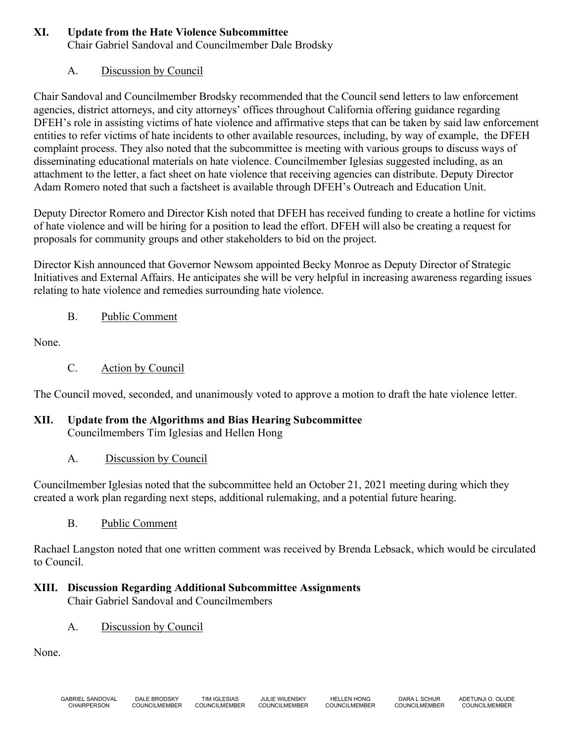### **XI. Update from the Hate Violence Subcommittee**

Chair Gabriel Sandoval and Councilmember Dale Brodsky

### A. Discussion by Council

Chair Sandoval and Councilmember Brodsky recommended that the Council send letters to law enforcement agencies, district attorneys, and city attorneys' offices throughout California offering guidance regarding DFEH's role in assisting victims of hate violence and affirmative steps that can be taken by said law enforcement entities to refer victims of hate incidents to other available resources, including, by way of example, the DFEH complaint process. They also noted that the subcommittee is meeting with various groups to discuss ways of disseminating educational materials on hate violence. Councilmember Iglesias suggested including, as an attachment to the letter, a fact sheet on hate violence that receiving agencies can distribute. Deputy Director Adam Romero noted that such a factsheet is available through DFEH's Outreach and Education Unit.

Deputy Director Romero and Director Kish noted that DFEH has received funding to create a hotline for victims of hate violence and will be hiring for a position to lead the effort. DFEH will also be creating a request for proposals for community groups and other stakeholders to bid on the project.

Director Kish announced that Governor Newsom appointed Becky Monroe as Deputy Director of Strategic Initiatives and External Affairs. He anticipates she will be very helpful in increasing awareness regarding issues relating to hate violence and remedies surrounding hate violence.

### B. Public Comment

None.

C. Action by Council

The Council moved, seconded, and unanimously voted to approve a motion to draft the hate violence letter.

### **XII. Update from the Algorithms and Bias Hearing Subcommittee**

Councilmembers Tim Iglesias and Hellen Hong

### A. Discussion by Council

Councilmember Iglesias noted that the subcommittee held an October 21, 2021 meeting during which they created a work plan regarding next steps, additional rulemaking, and a potential future hearing.

B. Public Comment

Rachael Langston noted that one written comment was received by Brenda Lebsack, which would be circulated to Council.

#### **XIII. Discussion Regarding Additional Subcommittee Assignments** Chair Gabriel Sandoval and Councilmembers

A. Discussion by Council

None.